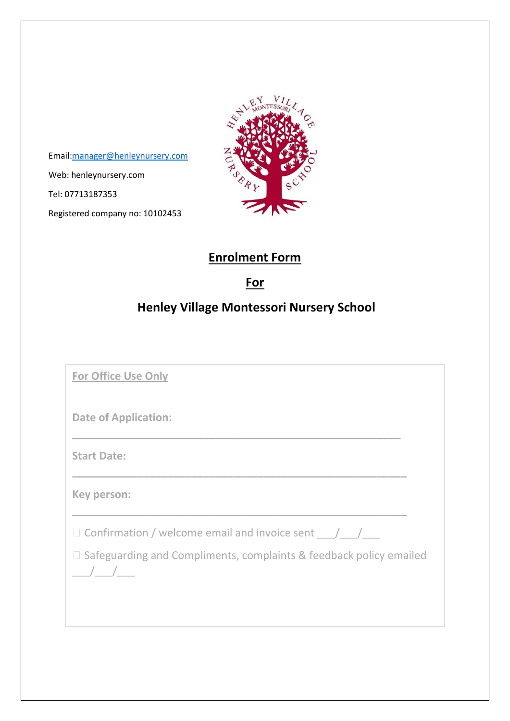Email[:manager@henleynursery.com](mailto:manager@henleynursery.com) Web: henleynursery.com Tel: 07713187353 Registered company no: 10102453



# **Enrolment Form**

## **For**

# **Henley Village Montessori Nursery School**

| <b>For Office Use Only</b>  |                                                                           |
|-----------------------------|---------------------------------------------------------------------------|
| <b>Date of Application:</b> |                                                                           |
| <b>Start Date:</b>          |                                                                           |
| Key person:                 |                                                                           |
|                             | $\Box$ Confirmation / welcome email and invoice sent $\Box$ /             |
|                             | $\Box$ Safeguarding and Compliments, complaints & feedback policy emailed |
|                             |                                                                           |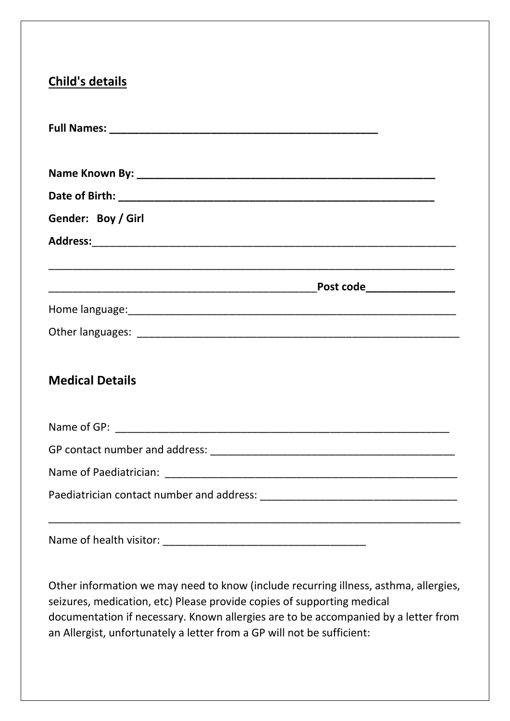# **Child's details**

| Gender: Boy / Girl          |
|-----------------------------|
|                             |
| Post code__________________ |
|                             |
|                             |
| <b>Medical Details</b>      |
|                             |
|                             |
|                             |
|                             |
| Name of health visitor:     |

Other information we may need to know (include recurring illness, asthma, allergies, seizures, medication, etc) Please provide copies of supporting medical documentation if necessary. Known allergies are to be accompanied by a letter from an Allergist, unfortunately a letter from a GP will not be sufficient: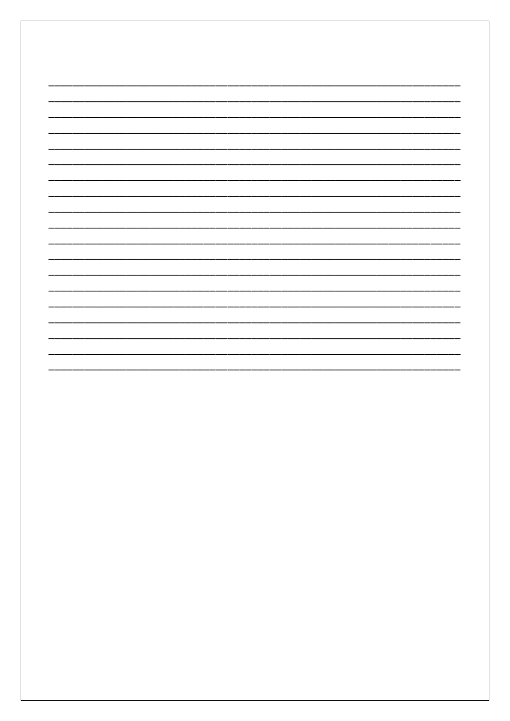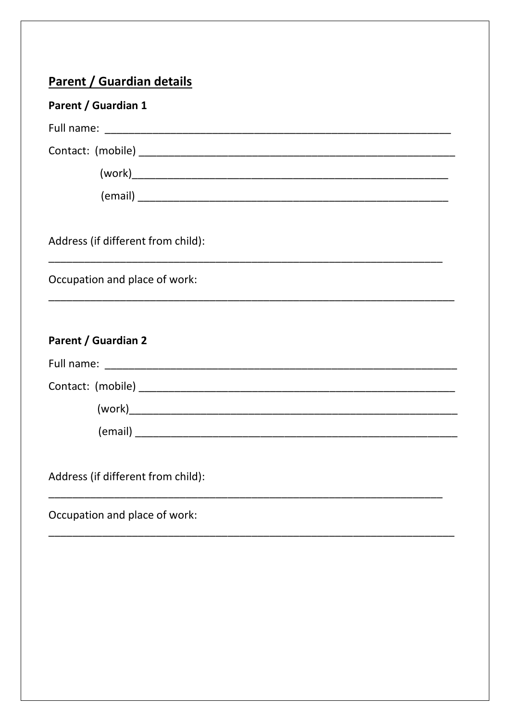# Parent / Guardian details

### Parent / Guardian 1

Full name: The contract of the contract of the contract of the contract of the contract of the contract of the

Address (if different from child):

Occupation and place of work:

| <b>Parent / Guardian 2</b>                                                                                                                                                                                                    |  |
|-------------------------------------------------------------------------------------------------------------------------------------------------------------------------------------------------------------------------------|--|
|                                                                                                                                                                                                                               |  |
|                                                                                                                                                                                                                               |  |
|                                                                                                                                                                                                                               |  |
| (email) and the control of the control of the control of the control of the control of the control of the control of the control of the control of the control of the control of the control of the control of the control of |  |
|                                                                                                                                                                                                                               |  |

Address (if different from child):

Occupation and place of work: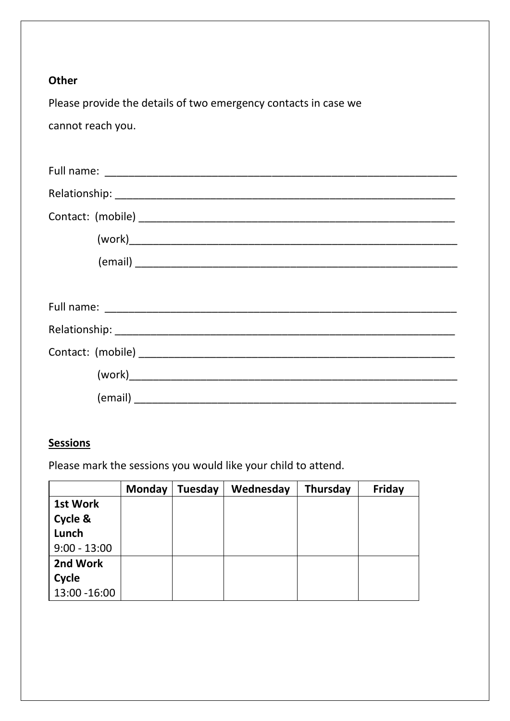## **Other**

| Please provide the details of two emergency contacts in case we |  |
|-----------------------------------------------------------------|--|
| cannot reach you.                                               |  |
|                                                                 |  |
|                                                                 |  |
|                                                                 |  |
|                                                                 |  |
|                                                                 |  |
|                                                                 |  |
|                                                                 |  |
|                                                                 |  |
|                                                                 |  |
|                                                                 |  |
|                                                                 |  |
|                                                                 |  |

# **Sessions**

Please mark the sessions you would like your child to attend.

|                 | Monday | Tuesday | Wednesday | Thursday | Friday |
|-----------------|--------|---------|-----------|----------|--------|
| <b>1st Work</b> |        |         |           |          |        |
| Cycle &         |        |         |           |          |        |
| Lunch           |        |         |           |          |        |
| $9:00 - 13:00$  |        |         |           |          |        |
| 2nd Work        |        |         |           |          |        |
| Cycle           |        |         |           |          |        |
| 13:00 - 16:00   |        |         |           |          |        |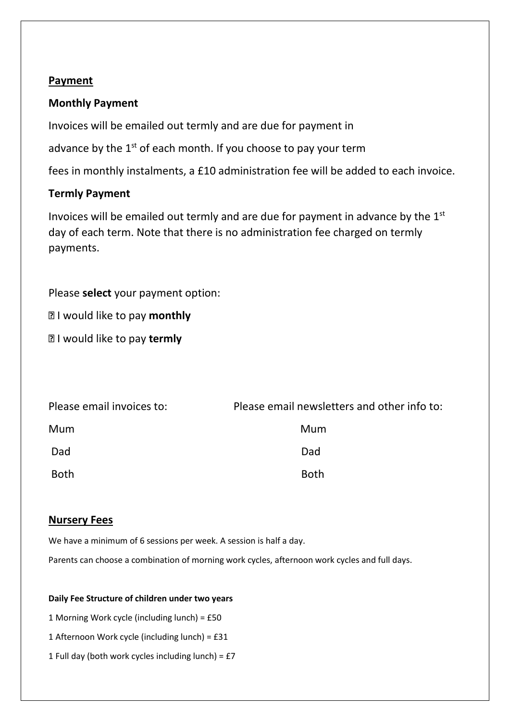### **Payment**

### **Monthly Payment**

Invoices will be emailed out termly and are due for payment in

advance by the  $1<sup>st</sup>$  of each month. If you choose to pay your term

fees in monthly instalments, a £10 administration fee will be added to each invoice.

### **Termly Payment**

Invoices will be emailed out termly and are due for payment in advance by the 1st day of each term. Note that there is no administration fee charged on termly payments.

Please **select** your payment option:

- I would like to pay **monthly**
- I would like to pay **termly**

| Please email invoices to: | Please email newsletters and other info to: |
|---------------------------|---------------------------------------------|
| Mum                       | Mum                                         |
| Dad                       | Dad                                         |
| <b>Both</b>               | <b>Both</b>                                 |

#### **Nursery Fees**

We have a minimum of 6 sessions per week. A session is half a day.

Parents can choose a combination of morning work cycles, afternoon work cycles and full days.

#### **Daily Fee Structure of children under two years**

1 Morning Work cycle (including lunch) = £50

- 1 Afternoon Work cycle (including lunch) = £31
- 1 Full day (both work cycles including lunch) =  $E7$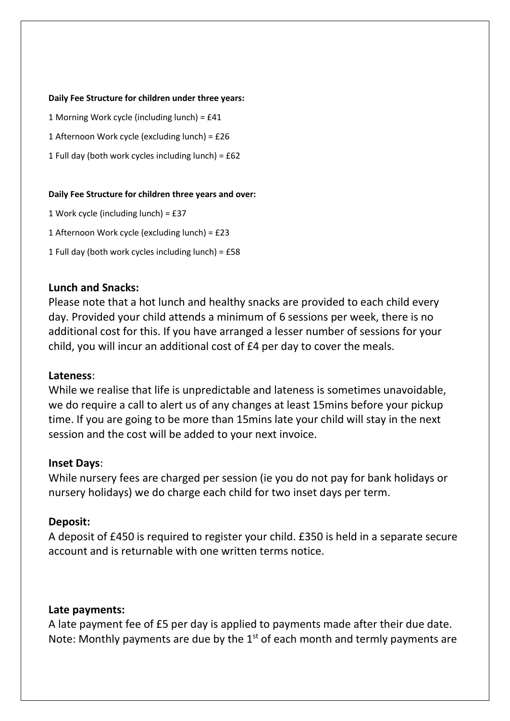#### **Daily Fee Structure for children under three years:**

1 Morning Work cycle (including lunch) = £41 1 Afternoon Work cycle (excluding lunch) = £26 1 Full day (both work cycles including lunch) =  $£62$ 

#### **Daily Fee Structure for children three years and over:**

1 Work cycle (including lunch) = £37 1 Afternoon Work cycle (excluding lunch) = £23 1 Full day (both work cycles including lunch) = £58

#### **Lunch and Snacks:**

Please note that a hot lunch and healthy snacks are provided to each child every day. Provided your child attends a minimum of 6 sessions per week, there is no additional cost for this. If you have arranged a lesser number of sessions for your child, you will incur an additional cost of £4 per day to cover the meals.

#### **Lateness**:

While we realise that life is unpredictable and lateness is sometimes unavoidable, we do require a call to alert us of any changes at least 15mins before your pickup time. If you are going to be more than 15mins late your child will stay in the next session and the cost will be added to your next invoice.

#### **Inset Days**:

While nursery fees are charged per session (ie you do not pay for bank holidays or nursery holidays) we do charge each child for two inset days per term.

#### **Deposit:**

A deposit of £450 is required to register your child. £350 is held in a separate secure account and is returnable with one written terms notice.

#### **Late payments:**

A late payment fee of £5 per day is applied to payments made after their due date. Note: Monthly payments are due by the  $1<sup>st</sup>$  of each month and termly payments are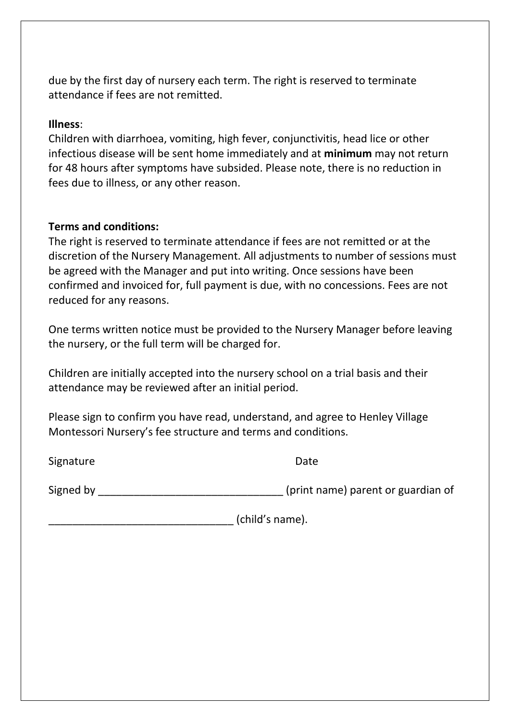due by the first day of nursery each term. The right is reserved to terminate attendance if fees are not remitted.

### **Illness**:

Children with diarrhoea, vomiting, high fever, conjunctivitis, head lice or other infectious disease will be sent home immediately and at **minimum** may not return for 48 hours after symptoms have subsided. Please note, there is no reduction in fees due to illness, or any other reason.

### **Terms and conditions:**

The right is reserved to terminate attendance if fees are not remitted or at the discretion of the Nursery Management. All adjustments to number of sessions must be agreed with the Manager and put into writing. Once sessions have been confirmed and invoiced for, full payment is due, with no concessions. Fees are not reduced for any reasons.

One terms written notice must be provided to the Nursery Manager before leaving the nursery, or the full term will be charged for.

Children are initially accepted into the nursery school on a trial basis and their attendance may be reviewed after an initial period.

Please sign to confirm you have read, understand, and agree to Henley Village Montessori Nursery's fee structure and terms and conditions.

Signature Date Date

| Signed by | (print name) parent or guardian of |  |  |
|-----------|------------------------------------|--|--|
|           |                                    |  |  |

\_\_\_\_\_\_\_\_\_\_\_\_\_\_\_\_\_\_\_\_\_\_\_\_\_\_\_\_\_\_\_ (child's name).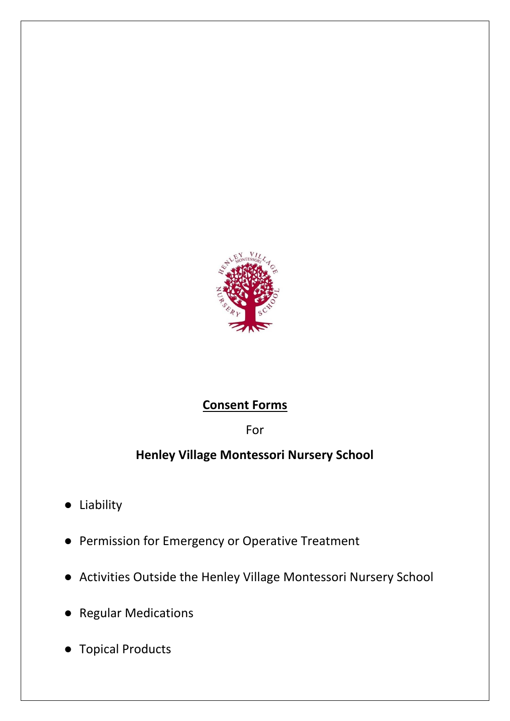

# **Consent Forms**

## For

# **Henley Village Montessori Nursery School**

- Liability
- Permission for Emergency or Operative Treatment
- Activities Outside the Henley Village Montessori Nursery School
- Regular Medications
- Topical Products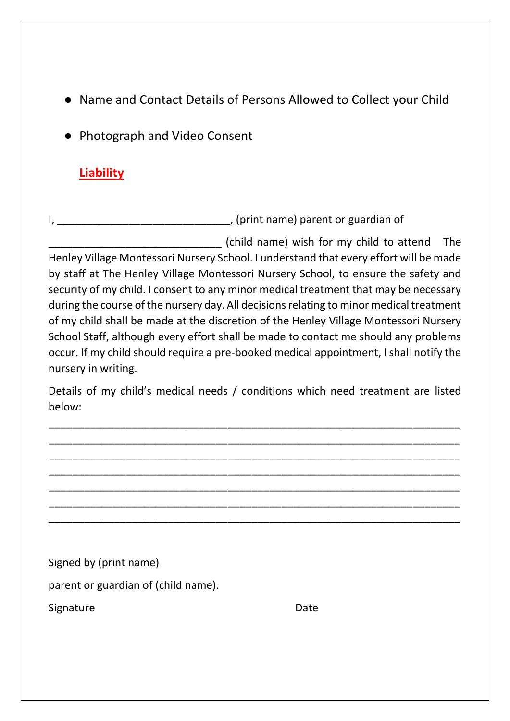- Name and Contact Details of Persons Allowed to Collect your Child
- Photograph and Video Consent

# **Liability**

I, \_\_\_\_\_\_\_\_\_\_\_\_\_\_\_\_\_\_\_\_\_\_\_\_\_\_\_\_\_, (print name) parent or guardian of

\_\_\_\_\_\_\_\_\_\_\_\_\_\_\_\_\_\_\_\_\_\_\_\_\_\_\_\_\_ (child name) wish for my child to attend The Henley Village Montessori Nursery School. I understand that every effort will be made by staff at The Henley Village Montessori Nursery School, to ensure the safety and security of my child. I consent to any minor medical treatment that may be necessary during the course of the nursery day. All decisions relating to minor medical treatment of my child shall be made at the discretion of the Henley Village Montessori Nursery School Staff, although every effort shall be made to contact me should any problems occur. If my child should require a pre-booked medical appointment, I shall notify the nursery in writing.

Details of my child's medical needs / conditions which need treatment are listed below:

\_\_\_\_\_\_\_\_\_\_\_\_\_\_\_\_\_\_\_\_\_\_\_\_\_\_\_\_\_\_\_\_\_\_\_\_\_\_\_\_\_\_\_\_\_\_\_\_\_\_\_\_\_\_\_\_\_\_\_\_\_\_\_\_\_\_\_\_\_ \_\_\_\_\_\_\_\_\_\_\_\_\_\_\_\_\_\_\_\_\_\_\_\_\_\_\_\_\_\_\_\_\_\_\_\_\_\_\_\_\_\_\_\_\_\_\_\_\_\_\_\_\_\_\_\_\_\_\_\_\_\_\_\_\_\_\_\_\_ \_\_\_\_\_\_\_\_\_\_\_\_\_\_\_\_\_\_\_\_\_\_\_\_\_\_\_\_\_\_\_\_\_\_\_\_\_\_\_\_\_\_\_\_\_\_\_\_\_\_\_\_\_\_\_\_\_\_\_\_\_\_\_\_\_\_\_\_\_ \_\_\_\_\_\_\_\_\_\_\_\_\_\_\_\_\_\_\_\_\_\_\_\_\_\_\_\_\_\_\_\_\_\_\_\_\_\_\_\_\_\_\_\_\_\_\_\_\_\_\_\_\_\_\_\_\_\_\_\_\_\_\_\_\_\_\_\_\_ \_\_\_\_\_\_\_\_\_\_\_\_\_\_\_\_\_\_\_\_\_\_\_\_\_\_\_\_\_\_\_\_\_\_\_\_\_\_\_\_\_\_\_\_\_\_\_\_\_\_\_\_\_\_\_\_\_\_\_\_\_\_\_\_\_\_\_\_\_ \_\_\_\_\_\_\_\_\_\_\_\_\_\_\_\_\_\_\_\_\_\_\_\_\_\_\_\_\_\_\_\_\_\_\_\_\_\_\_\_\_\_\_\_\_\_\_\_\_\_\_\_\_\_\_\_\_\_\_\_\_\_\_\_\_\_\_\_\_ \_\_\_\_\_\_\_\_\_\_\_\_\_\_\_\_\_\_\_\_\_\_\_\_\_\_\_\_\_\_\_\_\_\_\_\_\_\_\_\_\_\_\_\_\_\_\_\_\_\_\_\_\_\_\_\_\_\_\_\_\_\_\_\_\_\_\_\_\_

Signed by (print name)

parent or guardian of (child name).

Signature Date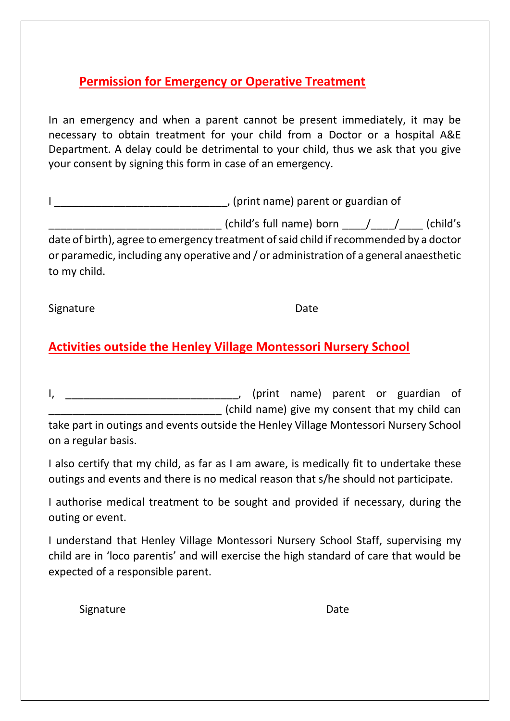# **Permission for Emergency or Operative Treatment**

In an emergency and when a parent cannot be present immediately, it may be necessary to obtain treatment for your child from a Doctor or a hospital A&E Department. A delay could be detrimental to your child, thus we ask that you give your consent by signing this form in case of an emergency.

I \_\_\_\_\_\_\_\_\_\_\_\_\_\_\_\_\_\_\_\_\_\_\_\_\_\_\_\_\_, (print name) parent or guardian of

 $\chi$  (child's full name) born  $\chi$  /  $\chi$  (child's date of birth), agree to emergency treatment of said child if recommended by a doctor or paramedic, including any operative and / or administration of a general anaesthetic to my child.

Signature Date Date

# **Activities outside the Henley Village Montessori Nursery School**

I, \_\_\_\_\_\_\_\_\_\_\_\_\_\_\_\_\_\_\_\_\_\_\_\_\_\_\_\_\_\_\_\_\_\_\_, (print name) parent or guardian of \_\_\_\_\_\_\_\_\_\_\_\_\_\_\_\_\_\_\_\_\_\_\_\_\_\_\_\_\_ (child name) give my consent that my child can take part in outings and events outside the Henley Village Montessori Nursery School on a regular basis.

I also certify that my child, as far as I am aware, is medically fit to undertake these outings and events and there is no medical reason that s/he should not participate.

I authorise medical treatment to be sought and provided if necessary, during the outing or event.

I understand that Henley Village Montessori Nursery School Staff, supervising my child are in 'loco parentis' and will exercise the high standard of care that would be expected of a responsible parent.

Signature Date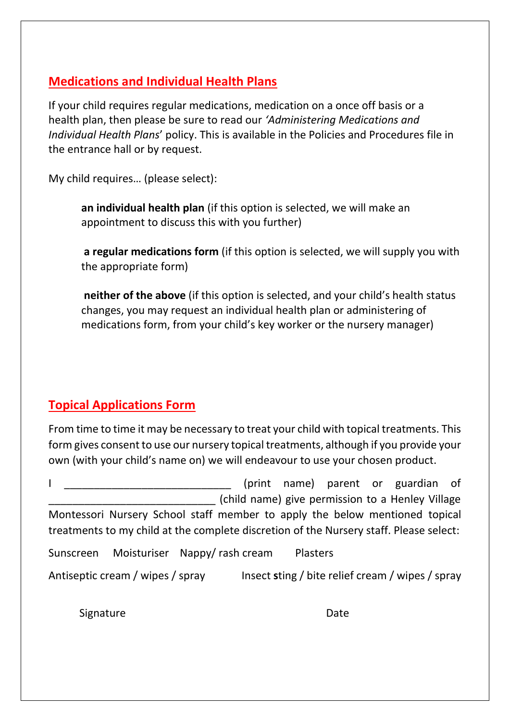# **Medications and Individual Health Plans**

If your child requires regular medications, medication on a once off basis or a health plan, then please be sure to read our *'Administering Medications and Individual Health Plans*' policy. This is available in the Policies and Procedures file in the entrance hall or by request.

My child requires… (please select):

**an individual health plan** (if this option is selected, we will make an appointment to discuss this with you further)

**a regular medications form** (if this option is selected, we will supply you with the appropriate form)

**neither of the above** (if this option is selected, and your child's health status changes, you may request an individual health plan or administering of medications form, from your child's key worker or the nursery manager)

# **Topical Applications Form**

From time to time it may be necessary to treat your child with topical treatments. This form gives consent to use our nursery topical treatments, although if you provide your own (with your child's name on) we will endeavour to use your chosen product.

|                                                                                        |                                                  |                         |  | (print name) parent or guardian of |  |
|----------------------------------------------------------------------------------------|--------------------------------------------------|-------------------------|--|------------------------------------|--|
|                                                                                        | (child name) give permission to a Henley Village |                         |  |                                    |  |
| Montessori Nursery School staff member to apply the below mentioned topical            |                                                  |                         |  |                                    |  |
| treatments to my child at the complete discretion of the Nursery staff. Please select: |                                                  |                         |  |                                    |  |
| Cunceroon Moisturisor Nanny/rash sroom                                                 |                                                  | $D$ $A$ $A$ $A$ $A$ $B$ |  |                                    |  |

Sunscreen Moisturiser Nappy/ rash cream Plasters

Antiseptic cream / wipes / sprayInsect **s**ting / bite relief cream / wipes / spray

Signature Date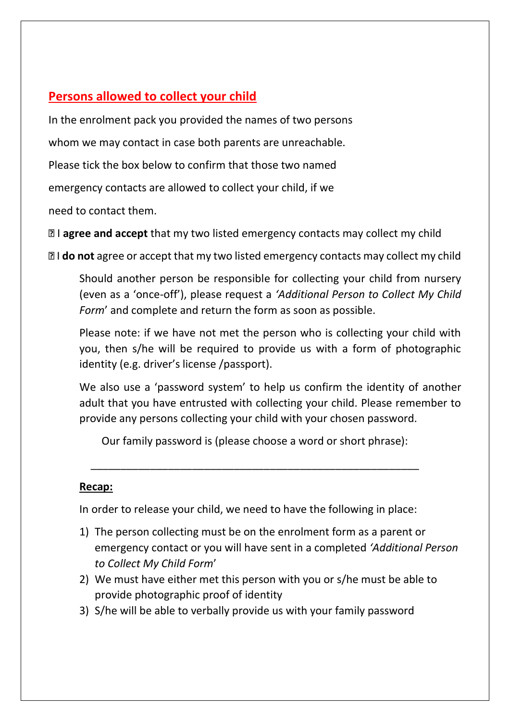# **Persons allowed to collect your child**

In the enrolment pack you provided the names of two persons whom we may contact in case both parents are unreachable. Please tick the box below to confirm that those two named emergency contacts are allowed to collect your child, if we

need to contact them.

I **agree and accept** that my two listed emergency contacts may collect my child

I **do not** agree or accept that my two listed emergency contacts may collect my child

Should another person be responsible for collecting your child from nursery (even as a 'once-off'), please request a *'Additional Person to Collect My Child Form*' and complete and return the form as soon as possible.

Please note: if we have not met the person who is collecting your child with you, then s/he will be required to provide us with a form of photographic identity (e.g. driver's license /passport).

We also use a 'password system' to help us confirm the identity of another adult that you have entrusted with collecting your child. Please remember to provide any persons collecting your child with your chosen password.

Our family password is (please choose a word or short phrase):

\_\_\_\_\_\_\_\_\_\_\_\_\_\_\_\_\_\_\_\_\_\_\_\_\_\_\_\_\_\_\_\_\_\_\_\_\_\_\_\_\_\_\_\_\_\_\_\_\_\_\_\_\_\_\_

### **Recap:**

In order to release your child, we need to have the following in place:

- 1) The person collecting must be on the enrolment form as a parent or emergency contact or you will have sent in a completed *'Additional Person to Collect My Child Form*'
- 2) We must have either met this person with you or s/he must be able to provide photographic proof of identity
- 3) S/he will be able to verbally provide us with your family password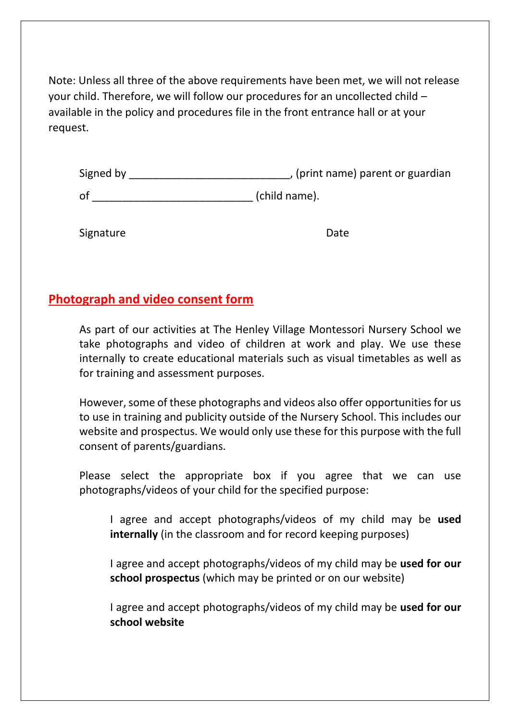Note: Unless all three of the above requirements have been met, we will not release your child. Therefore, we will follow our procedures for an uncollected child – available in the policy and procedures file in the front entrance hall or at your request.

| Signed by | , (print name) parent or guardian |
|-----------|-----------------------------------|
| 0f        | (child name).                     |

Signature Date

# **Photograph and video consent form**

As part of our activities at The Henley Village Montessori Nursery School we take photographs and video of children at work and play. We use these internally to create educational materials such as visual timetables as well as for training and assessment purposes.

However, some of these photographs and videos also offer opportunities for us to use in training and publicity outside of the Nursery School. This includes our website and prospectus. We would only use these for this purpose with the full consent of parents/guardians.

Please select the appropriate box if you agree that we can use photographs/videos of your child for the specified purpose:

I agree and accept photographs/videos of my child may be **used internally** (in the classroom and for record keeping purposes)

I agree and accept photographs/videos of my child may be **used for our school prospectus** (which may be printed or on our website)

I agree and accept photographs/videos of my child may be **used for our school website**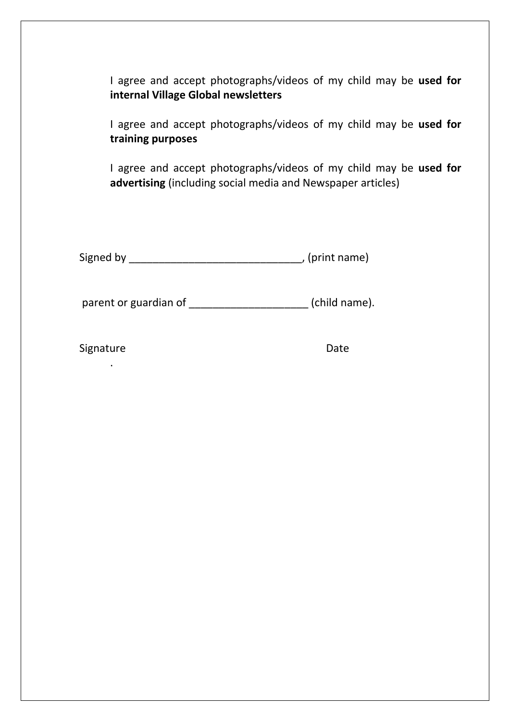I agree and accept photographs/videos of my child may be **used for internal Village Global newsletters**

I agree and accept photographs/videos of my child may be **used for training purposes**

I agree and accept photographs/videos of my child may be **used for advertising** (including social media and Newspaper articles)

| Signed by | , (print name) |
|-----------|----------------|
|-----------|----------------|

parent or guardian of \_\_\_\_\_\_\_\_\_\_\_\_\_\_\_\_\_\_\_\_\_\_\_\_(child name).

Signature Date Date

.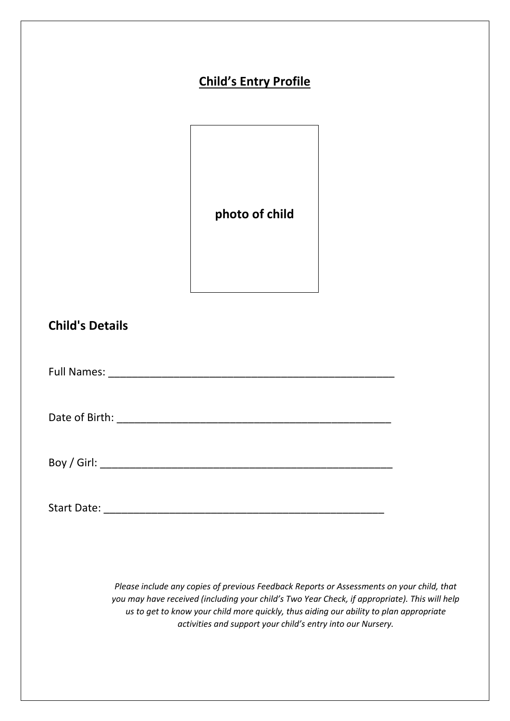# **Child's Entry Profile**

**photo of child**

| <b>Child's Details</b> |
|------------------------|
|                        |
|                        |
|                        |
|                        |

*Please include any copies of previous Feedback Reports or Assessments on your child, that you may have received (including your child's Two Year Check, if appropriate). This will help us to get to know your child more quickly, thus aiding our ability to plan appropriate activities and support your child's entry into our Nursery.*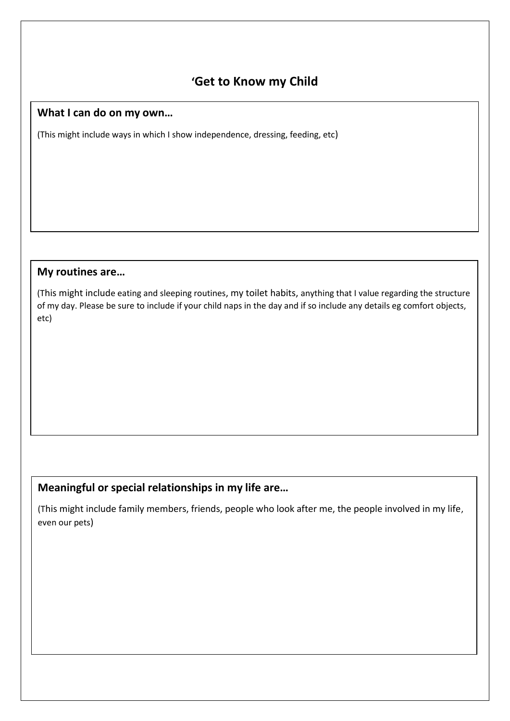## **'Get to Know my Child**

#### **What I can do on my own…**

(This might include ways in which I show independence, dressing, feeding, etc)

### **My routines are…**

(This might include eating and sleeping routines, my toilet habits, anything that I value regarding the structure of my day. Please be sure to include if your child naps in the day and if so include any details eg comfort objects, etc)

### **Meaningful or special relationships in my life are…**

(This might include family members, friends, people who look after me, the people involved in my life, even our pets)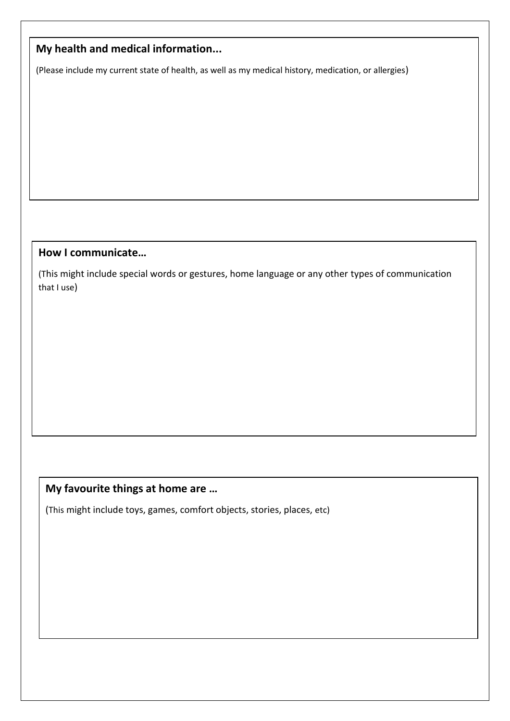## **My health and medical information...**

(Please include my current state of health, as well as my medical history, medication, or allergies)

#### **How I communicate…**

(This might include special words or gestures, home language or any other types of communication that I use) Any allergies much be accompanied by a letter from an Allergist (unfortunately letters from a GP will not be sufficient)

## **My favourite things at home are …**

(This might include toys, games, comfort objects, stories, places, etc)